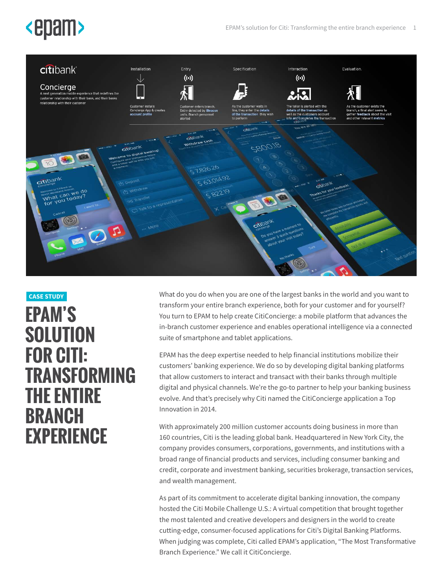# **<epam>**



# **EPAM'S SOLUTION FOR CITI: TRANSFORMING THE ENTIRE BRANCH EXPERIENCE CASE STUDY**

What do you do when you are one of the largest banks in the world and you want to transform your entire branch experience, both for your customer and for yourself? You turn to EPAM to help create CitiConcierge: a mobile platform that advances the in-branch customer experience and enables operational intelligence via a connected suite of smartphone and tablet applications.

EPAM has the deep expertise needed to help financial institutions mobilize their customers' banking experience. We do so by developing digital banking platforms that allow customers to interact and transact with their banks through multiple digital and physical channels. We're the go-to partner to help your banking business evolve. And that's precisely why Citi named the CitiConcierge application a Top Innovation in 2014.

With approximately 200 million customer accounts doing business in more than 160 countries, Citi is the leading global bank. Headquartered in New York City, the company provides consumers, corporations, governments, and institutions with a broad range of financial products and services, including consumer banking and credit, corporate and investment banking, securities brokerage, transaction services, and wealth management.

As part of its commitment to accelerate digital banking innovation, the company hosted the Citi Mobile Challenge U.S.: A virtual competition that brought together the most talented and creative developers and designers in the world to create cutting-edge, consumer-focused applications for Citi's Digital Banking Platforms. When judging was complete, Citi called EPAM's application, "The Most Transformative Branch Experience." We call it CitiConcierge.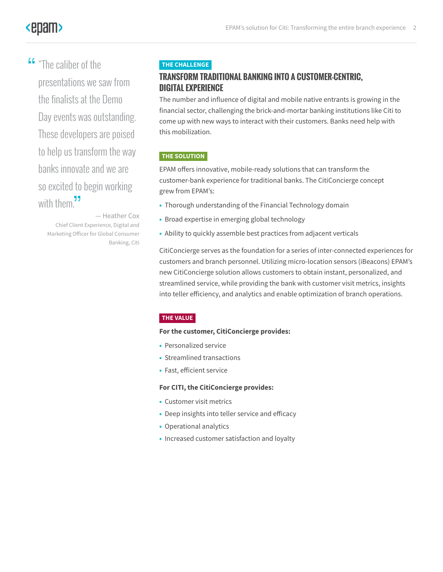# **<epam>**

**"The caliber of the<br>presentations we s** presentations we saw from the finalists at the Demo Day events was outstanding. These developers are poised to help us transform the way banks innovate and we are so excited to begin working with them. $\frac{1}{2}$ 

— Heather Cox Chief Client Experience, Digital and Marketing Officer for Global Consumer Banking, Citi

### **THE CHALLENGE**

# **TRANSFORM TRADITIONAL BANKING INTO A CUSTOMER-CENTRIC, DIGITAL EXPERIENCE**

The number and influence of digital and mobile native entrants is growing in the financial sector, challenging the brick-and-mortar banking institutions like Citi to come up with new ways to interact with their customers. Banks need help with this mobilization.

# **THE SOLUTION**

EPAM offers innovative, mobile-ready solutions that can transform the customer-bank experience for traditional banks. The CitiConcierge concept grew from EPAM's:

- Thorough understanding of the Financial Technology domain
- Broad expertise in emerging global technology
- Ability to quickly assemble best practices from adjacent verticals

CitiConcierge serves as the foundation for a series of inter-connected experiences for customers and branch personnel. Utilizing micro-location sensors (iBeacons) EPAM's new CitiConcierge solution allows customers to obtain instant, personalized, and streamlined service, while providing the bank with customer visit metrics, insights into teller efficiency, and analytics and enable optimization of branch operations.

#### **THE VALUE**

**For the customer, CitiConcierge provides:**

- Personalized service
- Streamlined transactions
- Fast, efficient service

#### **For CITI, the CitiConcierge provides:**

- Customer visit metrics
- Deep insights into teller service and efficacy
- Operational analytics
- Increased customer satisfaction and loyalty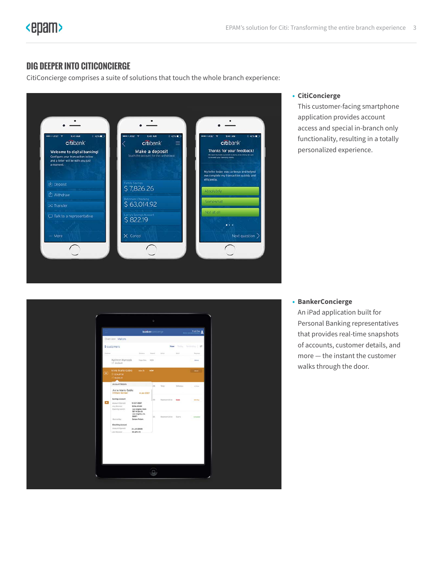# **DIG DEEPER INTO CITICONCIERGE**

CitiConcierge comprises a suite of solutions that touch the whole branch experience:



#### **• CitiConcierge**

This customer-facing smartphone application provides account access and special in-branch only functionality, resulting in a totally personalized experience.

|                 |                                                    | bankerconcierge                                                 |              |                      |               | Tripti Das        |
|-----------------|----------------------------------------------------|-----------------------------------------------------------------|--------------|----------------------|---------------|-------------------|
|                 | Overview Visitors                                  |                                                                 |              |                      |               |                   |
|                 | 5 customers                                        |                                                                 |              | Now                  |               | Today Yestenday # |
| <b>Customer</b> |                                                    | <b>Different</b>                                                | <b>Tayot</b> | Artist               | <b>Selait</b> | <b>Bergsray</b>   |
|                 | Kathryn Marecek<br>253200                          | Hope Ave. NOW                                                   |              |                      |               | Atent.            |
| $\circ$         | Anne Marie Gable<br>5.5236.8722<br>$-58,426,20$    | Main St                                                         | NOW          |                      |               | <b>Atlant</b>     |
|                 | Account Details                                    |                                                                 | los          | Tener                | Withdraw      | at false          |
| $\bullet$       | Anne Marie Gable<br><b>CitiGold Member</b>         | 4 Jan 2007                                                      |              |                      |               |                   |
|                 | Savings Account                                    |                                                                 | lice:        | Representative Lean  |               | amily             |
|                 | Account Opened:<br>Avg Balancer<br>Opening tranch: | 18 OCT 2007<br>\$236,419.80<br>Los Angeles Main<br>787 W Sth St |              |                      |               |                   |
|                 | Opened by:                                         | Los Angeles, CA<br>90071<br>Carson Peters                       | 56           | Representative Overy |               | Completed         |
|                 | <b>Checking Account</b>                            |                                                                 |              |                      |               |                   |
|                 | Account Opened:<br>Ave Reisener                    | 24 JAN 2008<br>58.476.70                                        |              |                      |               |                   |

#### **• BankerConcierge**

An iPad application built for Personal Banking representatives that provides real-time snapshots of accounts, customer details, and more — the instant the customer walks through the door.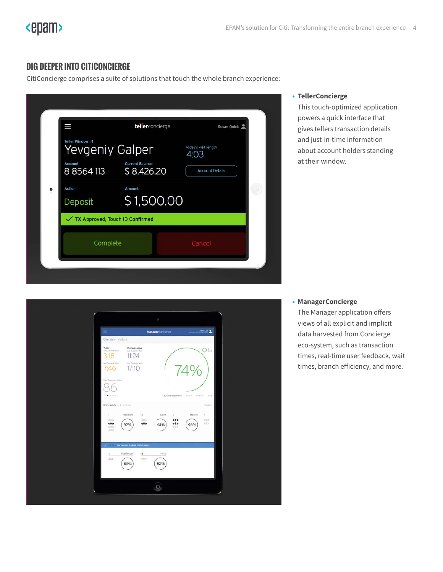# **DIG DEEPER INTO CITICONCIERGE**

CitiConcierge comprises a suite of solutions that touch the whole branch experience:

| Ш                        | tellerconcierge                      | Susan Quick                  |
|--------------------------|--------------------------------------|------------------------------|
| Teller Window #1         | Yevgeniy Galper                      | Today's visit length<br>4:03 |
| Account<br>8 8 5 6 4 113 | <b>Current Balance</b><br>\$8,426.20 | <b>Account Details</b>       |
| Action<br>٠<br>Deposit   | Amount<br>\$1,500.00                 |                              |
|                          | √ TX Approved, Touch ID Confirmed    |                              |
| Complete                 |                                      | Cancel                       |

#### **• TellerConcierge**

This touch-optimized application powers a quick interface that gives tellers transaction details and just-in-time information about account holders standing at their window.

|                                                                                                                       | o                                                                                         |                       |                                     |                              |  |  |  |
|-----------------------------------------------------------------------------------------------------------------------|-------------------------------------------------------------------------------------------|-----------------------|-------------------------------------|------------------------------|--|--|--|
| Overview Visitors                                                                                                     |                                                                                           | Managerconcierge      | Tripti Das                          |                              |  |  |  |
| Teller<br>Avg Costoner Wart<br>3:18<br>Aug Customer Walt<br>7:46<br>Total Customers Today<br>$\blacksquare$<br>$-1.1$ | Representative<br>Avg Customer Welt<br>11:24<br>Avg Customer Visit<br>17:10               | Customer Satisfaction | Cathin Cash Out                     | $O _{H}$<br>1 Marito         |  |  |  |
| 1.<br>400<br><b>COD</b><br>E0D<br>com                                                                                 | Window activity   Drive Through<br>$\overline{2}$<br>Freemont<br><0.5<br>«OD<br>92%       | Davis<br>x<br>64%     | Matinni<br>00D<br>60D<br>96%<br>con | favours.<br>ä,<br>402<br>402 |  |  |  |
| ö.<br>44m                                                                                                             | $\rightarrow$ New customer feedback for Chris Irving<br>۰<br>Washington<br>$<$ 0 p<br>89% | Inding<br>82%         |                                     |                              |  |  |  |
|                                                                                                                       |                                                                                           | $\Box$                |                                     |                              |  |  |  |

#### **• ManagerConcierge**

The Manager application offers views of all explicit and implicit data harvested from Concierge eco-system, such as transaction times, real-time user feedback, wait times, branch efficiency, and more.